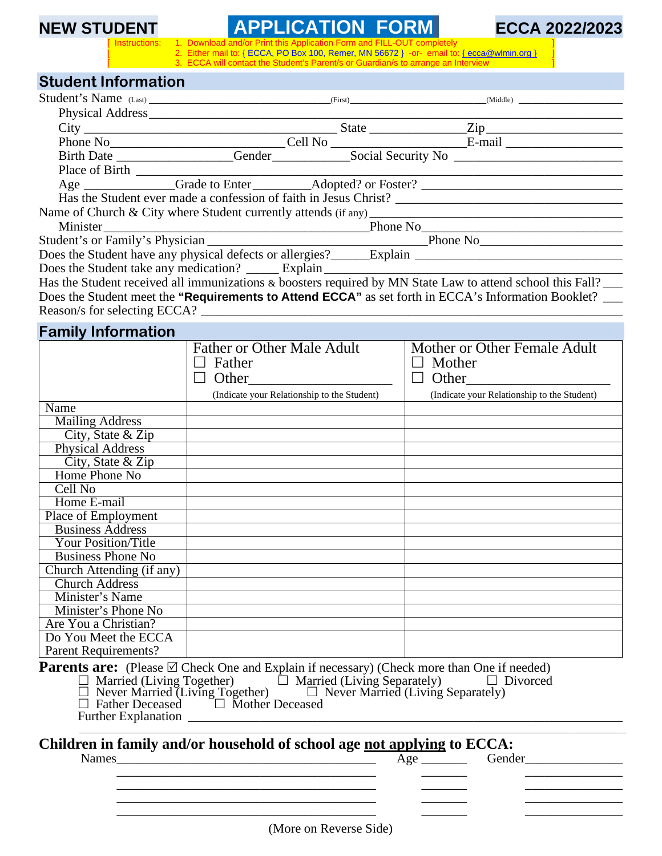# **NEW STUDENT APPLICATION FORM 6 ECCA 2022/2023**

1. Download and/or Print this Application Form and FILL-OUT completely<br>2. Either mail to: { ECCA, PO Box 100, Remer, MN 56672 } -or- email to<br>3. ECCA will contact the Student's Parent/s or Guardian/s to arrange an I Either mail to: { ECCA, PO Box 100, Remer, MN 56672 } -or- email to: { ecca@wlmin.org } ECCA will contact the Student's Parent/s or Guardian/s to arrange an Interview

## **Student Information**

| Student's Name (Last) (First) (Niddle) (Niddle)                                                             |  |  |
|-------------------------------------------------------------------------------------------------------------|--|--|
|                                                                                                             |  |  |
|                                                                                                             |  |  |
|                                                                                                             |  |  |
|                                                                                                             |  |  |
|                                                                                                             |  |  |
| Age _____________Grade to Enter _________Adopted? or Foster? ____________________                           |  |  |
|                                                                                                             |  |  |
| Name of Church & City where Student currently attends (if any) $\qquad \qquad$                              |  |  |
|                                                                                                             |  |  |
|                                                                                                             |  |  |
|                                                                                                             |  |  |
| Does the Student take any medication? Explain Explain                                                       |  |  |
| Hos the Student received all immunizations & becaters required by MN State I aw to attend school this Fall? |  |  |

Has the Student received all immunizations & boosters required by MN State Law to attend school this Fall? Does the Student meet the "Requirements to Attend ECCA" as set forth in ECCA's Information Booklet? \_\_\_\_ Reason/s for selecting ECCA?

| <b>Father or Other Male Adult</b><br>Mother or Other Female Adult<br>Father<br>Mother<br>$\Box$<br>$\perp$<br>(Indicate your Relationship to the Student)<br>(Indicate your Relationship to the Student)<br><b>Mailing Address</b><br>City, State & Zip<br>Physical Address<br>City, State & Zip<br>Home Phone No<br>Cell No<br>Home E-mail<br><b>Business Address</b><br><b>Your Position/Title</b><br><b>Business Phone No</b> | <b>Family Information</b> |  |
|----------------------------------------------------------------------------------------------------------------------------------------------------------------------------------------------------------------------------------------------------------------------------------------------------------------------------------------------------------------------------------------------------------------------------------|---------------------------|--|
|                                                                                                                                                                                                                                                                                                                                                                                                                                  |                           |  |
|                                                                                                                                                                                                                                                                                                                                                                                                                                  |                           |  |
|                                                                                                                                                                                                                                                                                                                                                                                                                                  |                           |  |
|                                                                                                                                                                                                                                                                                                                                                                                                                                  |                           |  |
|                                                                                                                                                                                                                                                                                                                                                                                                                                  | Name                      |  |
|                                                                                                                                                                                                                                                                                                                                                                                                                                  |                           |  |
|                                                                                                                                                                                                                                                                                                                                                                                                                                  |                           |  |
|                                                                                                                                                                                                                                                                                                                                                                                                                                  |                           |  |
|                                                                                                                                                                                                                                                                                                                                                                                                                                  |                           |  |
|                                                                                                                                                                                                                                                                                                                                                                                                                                  |                           |  |
|                                                                                                                                                                                                                                                                                                                                                                                                                                  |                           |  |
|                                                                                                                                                                                                                                                                                                                                                                                                                                  |                           |  |
|                                                                                                                                                                                                                                                                                                                                                                                                                                  | Place of Employment       |  |
|                                                                                                                                                                                                                                                                                                                                                                                                                                  |                           |  |
|                                                                                                                                                                                                                                                                                                                                                                                                                                  |                           |  |
|                                                                                                                                                                                                                                                                                                                                                                                                                                  |                           |  |
|                                                                                                                                                                                                                                                                                                                                                                                                                                  | Church Attending (if any) |  |
| <b>Church Address</b>                                                                                                                                                                                                                                                                                                                                                                                                            |                           |  |
| Minister's Name                                                                                                                                                                                                                                                                                                                                                                                                                  |                           |  |
| Minister's Phone No                                                                                                                                                                                                                                                                                                                                                                                                              |                           |  |
|                                                                                                                                                                                                                                                                                                                                                                                                                                  | Are You a Christian?      |  |
|                                                                                                                                                                                                                                                                                                                                                                                                                                  | Do You Meet the ECCA      |  |
|                                                                                                                                                                                                                                                                                                                                                                                                                                  | Parent Requirements?      |  |
| <b>Parents are:</b> (Please $\boxtimes$ Check One and Explain if necessary) (Check more than One if needed)                                                                                                                                                                                                                                                                                                                      |                           |  |
| □ Married (Living Together) □ Married (Living Separately) □ Divorced<br>□ Never Married (Living Together) □ Never Married (Living Separately) □ Divorced<br>□ Rather Deceased □ Mother Deceased                                                                                                                                                                                                                                  |                           |  |
|                                                                                                                                                                                                                                                                                                                                                                                                                                  |                           |  |
|                                                                                                                                                                                                                                                                                                                                                                                                                                  |                           |  |
|                                                                                                                                                                                                                                                                                                                                                                                                                                  |                           |  |
| Children in family and/or household of school age not applying to ECCA:                                                                                                                                                                                                                                                                                                                                                          |                           |  |
| <b>Names</b><br>Gender<br><u> 1989 - Jan James James, politik eta idazleari (h. 1982).</u>                                                                                                                                                                                                                                                                                                                                       |                           |  |

\_\_\_\_\_\_\_\_\_\_\_\_\_\_\_\_\_\_\_\_\_\_\_\_\_\_\_\_\_\_\_\_\_\_\_\_\_\_\_\_ \_\_\_\_\_\_\_ \_\_\_\_\_\_\_\_\_\_\_\_\_\_\_

\_\_\_\_\_\_\_\_\_\_\_\_\_\_\_\_\_\_\_\_\_\_\_\_\_\_\_\_\_\_\_\_\_\_\_\_\_\_\_\_ \_\_\_\_\_\_\_ \_\_\_\_\_\_\_\_\_\_\_\_\_\_\_

\_\_\_\_\_\_\_\_\_\_\_\_\_\_\_\_\_\_\_\_\_\_\_\_\_\_\_\_\_\_\_\_\_\_\_\_\_\_\_\_ \_\_\_\_\_\_\_ \_\_\_\_\_\_\_\_\_\_\_\_\_\_\_

\_\_\_\_\_\_\_\_\_\_\_\_\_\_\_\_\_\_\_\_\_\_\_\_\_\_\_\_\_\_\_\_\_\_\_\_\_\_\_\_ \_\_\_\_\_\_\_ \_\_\_\_\_\_\_\_\_\_\_\_\_\_\_